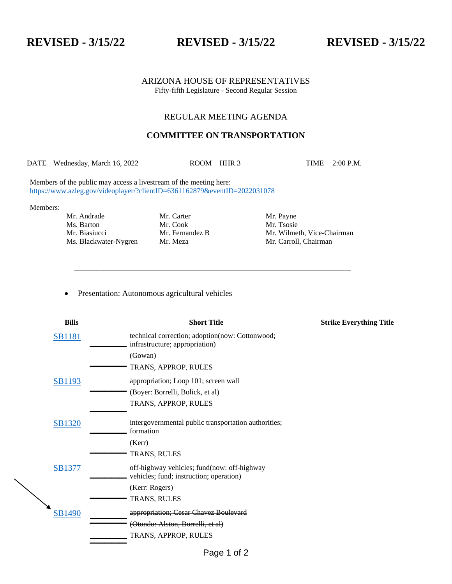**REVISED - 3/15/22 REVISED - 3/15/22 REVISED - 3/15/22**

## ARIZONA HOUSE OF REPRESENTATIVES Fifty-fifth Legislature - Second Regular Session

# REGULAR MEETING AGENDA

# **COMMITTEE ON TRANSPORTATION**

DATE Wednesday, March 16, 2022 ROOM HHR 3 TIME 2:00 P.M.

\_\_\_\_\_\_\_\_\_\_\_\_\_\_\_\_\_\_\_\_\_\_\_\_\_\_\_\_\_\_\_\_\_\_\_\_\_\_\_\_\_\_\_\_\_\_\_\_\_\_\_\_\_\_\_\_\_\_\_\_\_\_\_\_\_\_\_\_\_\_\_\_\_\_\_

Members of the public may access a livestream of the meeting here: [https://www.azleg.gov/videoplayer/?clientID=6361162879&eventID=2022031078](https://www.azleg.gov/videoplayer/?clientID=6361162879&eventID=2022031074)

Members:

Mr. Andrade Mr. Carter Mr. Dayne<br>Mr. Cook Mr. Tsosie

Mr. Cook Mr. Tsosie

Mr. Biasiucci Mr. Fernandez B Mr. Wilmeth, Vice-Chairman Ms. Blackwater-Nygren Mr. Meza Mr. Carroll, Chairman

• Presentation: Autonomous agricultural vehicles

| <b>Bills</b>     | <b>Short Title</b>                                                                     | <b>Strike Everything Title</b> |
|------------------|----------------------------------------------------------------------------------------|--------------------------------|
| <b>SB1181</b>    | technical correction; adoption(now: Cottonwood;<br>infrastructure; appropriation)      |                                |
|                  | (Gowan)                                                                                |                                |
|                  | TRANS, APPROP, RULES                                                                   |                                |
| <b>SB1193</b>    | appropriation; Loop 101; screen wall                                                   |                                |
|                  | (Boyer: Borrelli, Bolick, et al)                                                       |                                |
|                  | TRANS, APPROP, RULES                                                                   |                                |
| <b>SB1320</b>    | intergovernmental public transportation authorities;<br>formation                      |                                |
|                  | (Kerr)                                                                                 |                                |
|                  | TRANS, RULES                                                                           |                                |
| <b>SB1377</b>    | off-highway vehicles; fund(now: off-highway<br>vehicles; fund; instruction; operation) |                                |
|                  | (Kerr: Rogers)                                                                         |                                |
|                  | TRANS, RULES                                                                           |                                |
| <del>B1490</del> | appropriation; Cesar Chavez Boulevard                                                  |                                |
|                  | (Otondo: Alston, Borrelli, et al)                                                      |                                |
|                  | <u>TRANS, APPROP, RULES</u>                                                            |                                |
|                  |                                                                                        |                                |